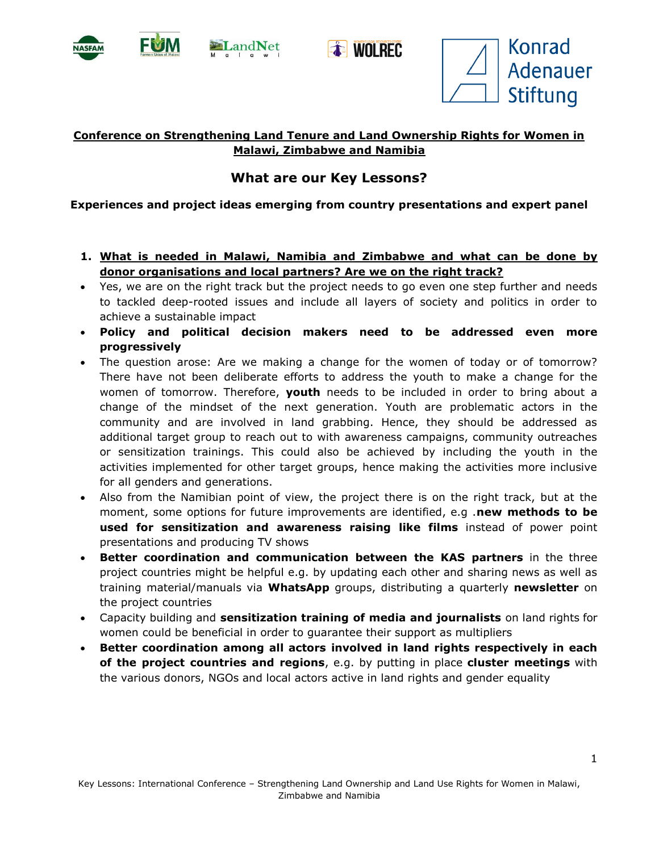



**Et WOLREC** 



## **Conference on Strengthening Land Tenure and Land Ownership Rights for Women in Malawi, Zimbabwe and Namibia**

## **What are our Key Lessons?**

## **Experiences and project ideas emerging from country presentations and expert panel**

- **1. What is needed in Malawi, Namibia and Zimbabwe and what can be done by donor organisations and local partners? Are we on the right track?**
- Yes, we are on the right track but the project needs to go even one step further and needs to tackled deep-rooted issues and include all layers of society and politics in order to achieve a sustainable impact
- **Policy and political decision makers need to be addressed even more progressively**
- The question arose: Are we making a change for the women of today or of tomorrow? There have not been deliberate efforts to address the youth to make a change for the women of tomorrow. Therefore, **youth** needs to be included in order to bring about a change of the mindset of the next generation. Youth are problematic actors in the community and are involved in land grabbing. Hence, they should be addressed as additional target group to reach out to with awareness campaigns, community outreaches or sensitization trainings. This could also be achieved by including the youth in the activities implemented for other target groups, hence making the activities more inclusive for all genders and generations.
- Also from the Namibian point of view, the project there is on the right track, but at the moment, some options for future improvements are identified, e.g .**new methods to be used for sensitization and awareness raising like films** instead of power point presentations and producing TV shows
- **Better coordination and communication between the KAS partners** in the three project countries might be helpful e.g. by updating each other and sharing news as well as training material/manuals via **WhatsApp** groups, distributing a quarterly **newsletter** on the project countries
- Capacity building and **sensitization training of media and journalists** on land rights for women could be beneficial in order to guarantee their support as multipliers
- **Better coordination among all actors involved in land rights respectively in each of the project countries and regions**, e.g. by putting in place **cluster meetings** with the various donors, NGOs and local actors active in land rights and gender equality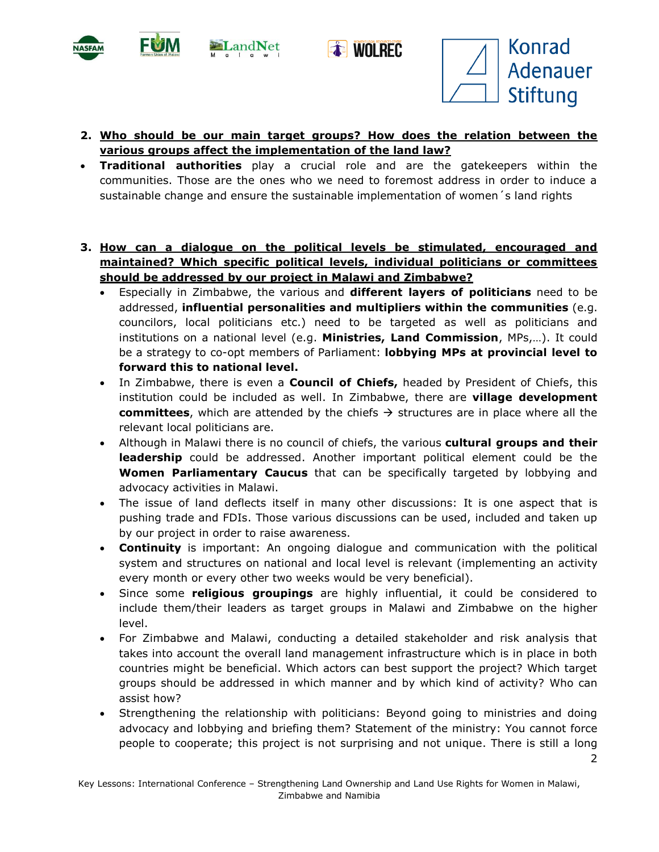







 $\mathcal{P}$ 

- **2. Who should be our main target groups? How does the relation between the various groups affect the implementation of the land law?**
- **Traditional authorities** play a crucial role and are the gatekeepers within the communities. Those are the ones who we need to foremost address in order to induce a sustainable change and ensure the sustainable implementation of women´s land rights
- **3. How can a dialogue on the political levels be stimulated, encouraged and maintained? Which specific political levels, individual politicians or committees should be addressed by our project in Malawi and Zimbabwe?**
	- Especially in Zimbabwe, the various and **different layers of politicians** need to be addressed, **influential personalities and multipliers within the communities** (e.g. councilors, local politicians etc.) need to be targeted as well as politicians and institutions on a national level (e.g. **Ministries, Land Commission**, MPs,…). It could be a strategy to co-opt members of Parliament: **lobbying MPs at provincial level to forward this to national level.**
	- In Zimbabwe, there is even a **Council of Chiefs,** headed by President of Chiefs, this institution could be included as well. In Zimbabwe, there are **village development committees**, which are attended by the chiefs  $\rightarrow$  structures are in place where all the relevant local politicians are.
	- Although in Malawi there is no council of chiefs, the various **cultural groups and their leadership** could be addressed. Another important political element could be the **Women Parliamentary Caucus** that can be specifically targeted by lobbying and advocacy activities in Malawi.
	- The issue of land deflects itself in many other discussions: It is one aspect that is pushing trade and FDIs. Those various discussions can be used, included and taken up by our project in order to raise awareness.
	- **Continuity** is important: An ongoing dialogue and communication with the political system and structures on national and local level is relevant (implementing an activity every month or every other two weeks would be very beneficial).
	- Since some **religious groupings** are highly influential, it could be considered to include them/their leaders as target groups in Malawi and Zimbabwe on the higher level.
	- For Zimbabwe and Malawi, conducting a detailed stakeholder and risk analysis that takes into account the overall land management infrastructure which is in place in both countries might be beneficial. Which actors can best support the project? Which target groups should be addressed in which manner and by which kind of activity? Who can assist how?
	- Strengthening the relationship with politicians: Beyond going to ministries and doing advocacy and lobbying and briefing them? Statement of the ministry: You cannot force people to cooperate; this project is not surprising and not unique. There is still a long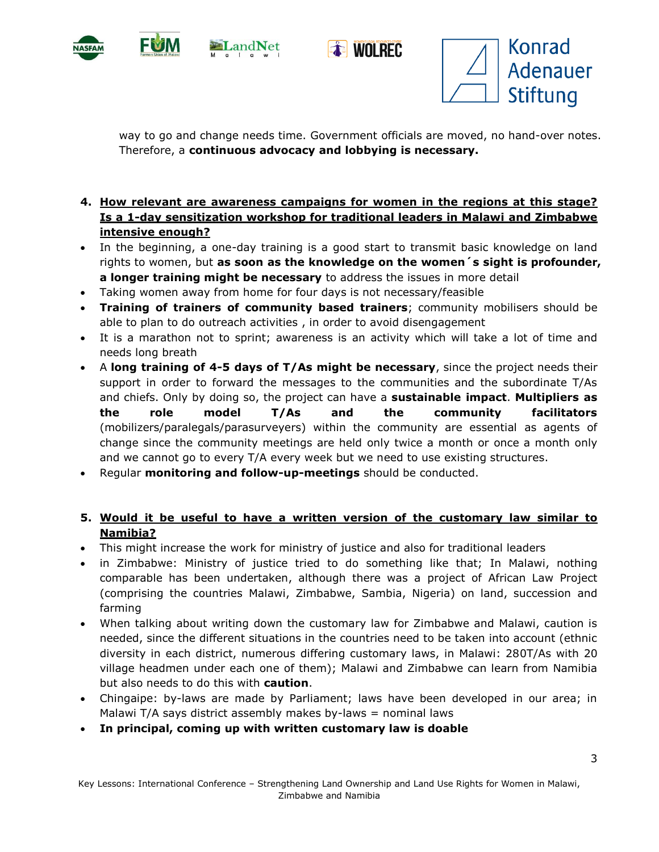







way to go and change needs time. Government officials are moved, no hand-over notes. Therefore, a **continuous advocacy and lobbying is necessary.**

- **4. How relevant are awareness campaigns for women in the regions at this stage? Is a 1-day sensitization workshop for traditional leaders in Malawi and Zimbabwe intensive enough?**
- In the beginning, a one-day training is a good start to transmit basic knowledge on land rights to women, but **as soon as the knowledge on the women´s sight is profounder, a longer training might be necessary** to address the issues in more detail
- Taking women away from home for four days is not necessary/feasible
- **Training of trainers of community based trainers**; community mobilisers should be able to plan to do outreach activities , in order to avoid disengagement
- It is a marathon not to sprint; awareness is an activity which will take a lot of time and needs long breath
- A **long training of 4-5 days of T/As might be necessary**, since the project needs their support in order to forward the messages to the communities and the subordinate T/As and chiefs. Only by doing so, the project can have a **sustainable impact**. **Multipliers as the role model T/As and the community facilitators** (mobilizers/paralegals/parasurveyers) within the community are essential as agents of change since the community meetings are held only twice a month or once a month only and we cannot go to every T/A every week but we need to use existing structures.
- Regular **monitoring and follow-up-meetings** should be conducted.

## **5. Would it be useful to have a written version of the customary law similar to Namibia?**

- This might increase the work for ministry of justice and also for traditional leaders
- in Zimbabwe: Ministry of justice tried to do something like that; In Malawi, nothing comparable has been undertaken, although there was a project of African Law Project (comprising the countries Malawi, Zimbabwe, Sambia, Nigeria) on land, succession and farming
- When talking about writing down the customary law for Zimbabwe and Malawi, caution is needed, since the different situations in the countries need to be taken into account (ethnic diversity in each district, numerous differing customary laws, in Malawi: 280T/As with 20 village headmen under each one of them); Malawi and Zimbabwe can learn from Namibia but also needs to do this with **caution**.
- Chingaipe: by-laws are made by Parliament; laws have been developed in our area; in Malawi T/A says district assembly makes by-laws  $=$  nominal laws
- **In principal, coming up with written customary law is doable**